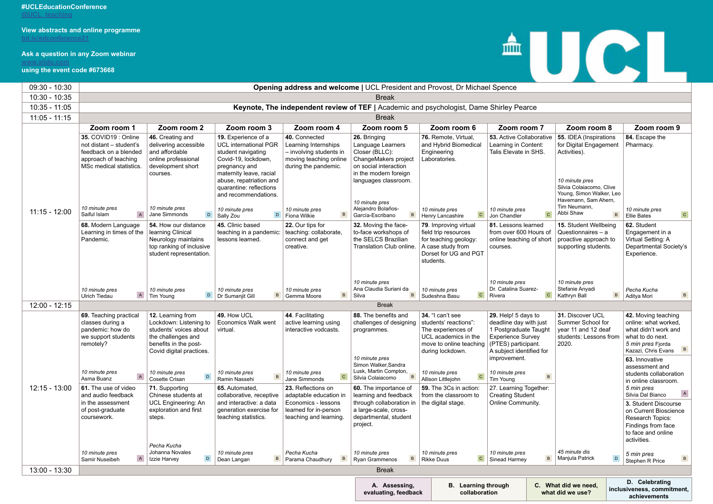## **#UCLEducationConference**

**[@UCL\\_teaching](https://twitter.com/ucl_teaching)**

# **Ask a question in any Zoom webinar**

**[www.slido.com](http://www.slido.com ) using the event code #673668**



**achievements**  - 1

| 09:30 - 10:30   | <b>Opening address and welcome   UCL President and Provost, Dr Michael Spence</b>                                           |                                                                                                                                                  |                                                                                                                                                                                                                            |                                                                                                                        |                                                                                                                                                                         |                                                                                                                                        |                                                                                                                                                       |                                                                                                                                                                    |                                                                                                                                                    |
|-----------------|-----------------------------------------------------------------------------------------------------------------------------|--------------------------------------------------------------------------------------------------------------------------------------------------|----------------------------------------------------------------------------------------------------------------------------------------------------------------------------------------------------------------------------|------------------------------------------------------------------------------------------------------------------------|-------------------------------------------------------------------------------------------------------------------------------------------------------------------------|----------------------------------------------------------------------------------------------------------------------------------------|-------------------------------------------------------------------------------------------------------------------------------------------------------|--------------------------------------------------------------------------------------------------------------------------------------------------------------------|----------------------------------------------------------------------------------------------------------------------------------------------------|
| $10:30 - 10:35$ |                                                                                                                             |                                                                                                                                                  |                                                                                                                                                                                                                            |                                                                                                                        | <b>Break</b>                                                                                                                                                            |                                                                                                                                        |                                                                                                                                                       |                                                                                                                                                                    |                                                                                                                                                    |
| 10:35 - 11:05   |                                                                                                                             |                                                                                                                                                  |                                                                                                                                                                                                                            | Keynote, The independent review of TEF   Academic and psychologist, Dame Shirley Pearce                                |                                                                                                                                                                         |                                                                                                                                        |                                                                                                                                                       |                                                                                                                                                                    |                                                                                                                                                    |
| $11:05 - 11:15$ | <b>Break</b>                                                                                                                |                                                                                                                                                  |                                                                                                                                                                                                                            |                                                                                                                        |                                                                                                                                                                         |                                                                                                                                        |                                                                                                                                                       |                                                                                                                                                                    |                                                                                                                                                    |
|                 | Zoom room 1                                                                                                                 | Zoom room 2                                                                                                                                      | Zoom room 3                                                                                                                                                                                                                | Zoom room 4                                                                                                            | Zoom room 5                                                                                                                                                             | Zoom room 6                                                                                                                            | Zoom room 7                                                                                                                                           | Zoom room 8                                                                                                                                                        | Zoom room 9                                                                                                                                        |
|                 | 35. COVID19 : Online<br>not distant - student's<br>feedback on a blended<br>approach of teaching<br>MSc medical statistics. | 46. Creating and<br>delivering accessible<br>and affordable<br>online professional<br>development short<br>courses.                              | 19. Experience of a<br><b>UCL international PGR</b><br>student navigating<br>Covid-19, lockdown,<br>pregnancy and<br>maternity leave, racial<br>abuse, repatriation and<br>quarantine: reflections<br>and recommendations. | 40. Connected<br>Learning Internships<br>- involving students in<br>moving teaching online<br>during the pandemic.     | 26. Bringing<br>Language Learners<br>Closer (BLLC):<br>ChangeMakers project<br>on social interaction<br>in the modern foreign<br>languages classroom.<br>10 minute pres | 76. Remote, Virtual,<br>and Hybrid Biomedical<br>Engineering<br>Laboratories.                                                          | 53. Active Collaborative<br>Learning in Content:<br>Talis Elevate in SHS.                                                                             | 55. IDEA (Inspirations<br>for Digital Engagement<br>Activities).<br>10 minute pres<br>Silvia Colaiacomo, Clive<br>Young, Simon Walker, Leo<br>Havemann, Sam Ahern, | 84. Escape the<br>Pharmacy.                                                                                                                        |
| $11:15 - 12:00$ | 10 minute pres<br>$\overline{A}$<br>Saiful Islam                                                                            | 10 minute pres<br>Jane Simmonds<br>D                                                                                                             | 10 minute pres<br>$\mathsf D$<br>Sally Zou                                                                                                                                                                                 | 10 minute pres<br>$\mathbf{B}$<br>Fiona Wilkie                                                                         | Alejandro Bolaños-<br>García-Escribano                                                                                                                                  | 10 minute pres<br>$\mathbf C$<br>Henry Lancashire                                                                                      | 10 minute pres<br>$\mathbf{C}$<br>Jon Chandler                                                                                                        | Tim Neumann,<br>Abbi Shaw<br>$\, {\sf B}$                                                                                                                          | 10 minute pres<br>$\mathtt{C}$<br><b>Ellie Bates</b>                                                                                               |
|                 | 68. Modern Language<br>Learning in times of the<br>Pandemic.                                                                | 54. How our distance<br>learning Clinical<br>Neurology maintains<br>top ranking of inclusive<br>student representation.                          | 45. Clinic based<br>teaching in a pandemic:<br>lessons learned.                                                                                                                                                            | 22. Our tips for<br>teaching: collaborate,<br>connect and get<br>creative.                                             | 32. Moving the face-<br>to-face workshops of<br>the SELCS Brazilian<br>Translation Club online.                                                                         | 79. Improving virtual<br>field trip resources<br>for teaching geology:<br>A case study from<br>Dorset for UG and PGT<br>students.      | 81. Lessons learned<br>from over 600 Hours of<br>online teaching of short<br>courses.                                                                 | 15. Student Wellbeing<br>Questionnaires - a<br>proactive approach to<br>supporting students.                                                                       | 62. Student<br>Engagement in a<br>Virtual Setting: A<br>Departmental Society's<br>Experience.                                                      |
|                 | 10 minute pres<br>$\mathsf A$<br><b>Ulrich Tiedau</b>                                                                       | 10 minute pres<br>$\mathsf D$<br><b>Tim Young</b>                                                                                                | 10 minute pres<br>$\overline{B}$<br>Dr Sumanjit Gill                                                                                                                                                                       | 10 minute pres<br>$\mathsf{B}$<br>Gemma Moore                                                                          | 10 minute pres<br>Ana Claudia Suriani da<br>$\mathsf{B}$<br>Silva                                                                                                       | 10 minute pres<br>$\mathbf C$<br>Sudeshna Basu                                                                                         | 10 minute pres<br>Dr. Catalina Suarez-<br>$\mathtt{C}$<br>Rivera                                                                                      | 10 minute pres<br>Stefanie Anyadi<br>$\,$ B<br>Kathryn Ball                                                                                                        | Pecha Kucha<br>$\,$ B<br>Aditya Mori                                                                                                               |
| $12:00 - 12:15$ |                                                                                                                             |                                                                                                                                                  |                                                                                                                                                                                                                            |                                                                                                                        | <b>Break</b>                                                                                                                                                            |                                                                                                                                        |                                                                                                                                                       |                                                                                                                                                                    |                                                                                                                                                    |
|                 | 69. Teaching practical<br>classes during a<br>pandemic: how do<br>we support students<br>remotely?                          | 12. Learning from<br>Lockdown: Listening to<br>students' voices about<br>the challenges and<br>benefits in the post-<br>Covid digital practices. | 49. How UCL<br><b>Economics Walk went</b><br>virtual.                                                                                                                                                                      | 44. Facilitating<br>active learning using<br>interactive vodcasts.                                                     | 88. The benefits and<br>challenges of designing<br>programmes.                                                                                                          | 34. "I can't see<br>students' reactions":<br>The experiences of<br>UCL academics in the<br>move to online teaching<br>during lockdown. | 29. Help! 5 days to<br>deadline day with just<br>1 Postgraduate Taught<br><b>Experience Survey</b><br>(PTES) participant.<br>A subject identified for | 31. Discover UCL<br>Summer School for<br>year 11 and 12 deaf<br>students: Lessons from<br>2020.                                                                    | 42. Moving teaching<br>online: what worked<br>what didn't work and<br>what to do next.<br>5 min pres Fjorda<br>Kazazi, Chris Evans<br>$\mathbf{p}$ |
|                 | 10 minute pres<br>Asma Buanz                                                                                                | 10 minute pres<br>$\mathsf D$<br>Cosette Crisan                                                                                                  | 10 minute pres<br>Ramin Nassehi                                                                                                                                                                                            | 10 minute pres<br>$\mathtt{C}$<br>Jane Simmonds                                                                        | 10 minute pres<br>Simon Walker, Sandra<br>Lusk, Martin Compton,<br>$\mathbf{B}$<br>Silvia Colaiacomo                                                                    | 10 minute pres<br>$\mathbf C$<br>Allison Littlejohn                                                                                    | improvement.<br>10 minute pres<br>$\,$ B<br>Tim Young                                                                                                 |                                                                                                                                                                    | 63. Innovative<br>assessment and<br>students collaboration<br>in online classroom.                                                                 |
| $12:15 - 13:00$ | 61. The use of video<br>and audio feedback<br>in the assessment<br>of post-graduate<br>coursework.                          | 71. Supporting<br>Chinese students at<br><b>UCL Engineering: An</b><br>exploration and first<br>steps.                                           | 65. Automated,<br>collaborative, receptive<br>and interactive: a data<br>generation exercise for<br>teaching statistics.                                                                                                   | 23. Reflections on<br>adaptable education in<br>Economics - lessons<br>learned for in-person<br>teaching and learning. | 60. The importance of<br>learning and feedback<br>through collaboration in<br>a large-scale, cross-<br>departmental, student                                            | 59. The 3Cs in action:<br>from the classroom to<br>the digital stage.                                                                  | 27. Learning Together:<br><b>Creating Student</b><br><b>Online Community.</b>                                                                         |                                                                                                                                                                    | 5 min pres<br>Silvia Dal Bianco<br>3. Student Discourse<br>on Current Bioscience<br>Research Topics:                                               |
|                 | 10 minute pres                                                                                                              | Pecha Kucha<br>Johanna Novales                                                                                                                   | 10 minute pres                                                                                                                                                                                                             | Pecha Kucha                                                                                                            | project.<br>10 minute pres                                                                                                                                              | 10 minute pres                                                                                                                         | 10 minute pres                                                                                                                                        | 45 minute dis                                                                                                                                                      | Findings from face<br>to face and online<br>activities.<br>5 min pres                                                                              |
|                 | $\mathsf{A}$<br>Samir Nuseibeh                                                                                              | $\mathsf D$<br>Izzie Harvey                                                                                                                      | $\overline{B}$<br>Dean Langan                                                                                                                                                                                              | $\mathbf{B}$<br>Parama Chaudhury                                                                                       | $\,$ B<br><b>Ryan Grammenos</b>                                                                                                                                         | $\mathbf C$<br><b>Rikke Duus</b>                                                                                                       | $\, {\bf B} \,$<br>Sinead Harmey                                                                                                                      | $\mathsf D$<br>Manjula Patrick                                                                                                                                     | $\,$ B<br>Stephen R Price                                                                                                                          |
| $13:00 - 13:30$ |                                                                                                                             |                                                                                                                                                  |                                                                                                                                                                                                                            |                                                                                                                        | <b>Break</b>                                                                                                                                                            |                                                                                                                                        |                                                                                                                                                       |                                                                                                                                                                    |                                                                                                                                                    |
|                 |                                                                                                                             |                                                                                                                                                  |                                                                                                                                                                                                                            | A. Assessing,<br>evaluating, feedback                                                                                  | <b>B.</b> Learning through<br>collaboration                                                                                                                             |                                                                                                                                        | C. What did we need,<br>what did we use?                                                                                                              | D. Celebrating<br>inclusiveness, commitment,<br>achievements                                                                                                       |                                                                                                                                                    |

# $\triangle \text{U}(\text{C}|\text{L})$